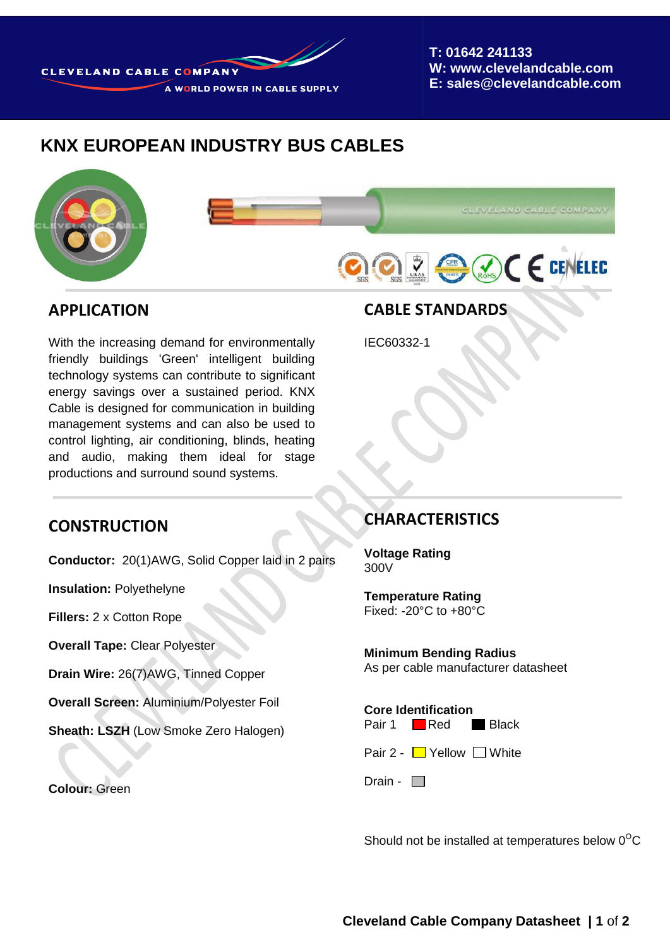

**T: 01642 241133 W: www.clevelandcable.com E: sales@clevelandcable.com**

# **KNX EUROPEAN INDUSTRY BUS CABLES**





#### **APPLICATION**

With the increasing demand for environmentally friendly buildings 'Green' intelligent building technology systems can contribute to significant energy savings over a sustained period. KNX Cable is designed for communication in building management systems and can also be used to control lighting, air conditioning, blinds, heating and audio, making them ideal for stage productions and surround sound systems.

# **CABLE STANDARDS**

IEC60332-1

#### **CONSTRUCTION**

**Conductor:** 20(1)AWG, Solid Copper laid in 2 pairs

**Insulation:** Polyethelyne

**Fillers:** 2 x Cotton Rope

**Overall Tape:** Clear Polyester

**Drain Wire:** 26(7)AWG, Tinned Copper

**Overall Screen:** Aluminium/Polyester Foil

**Sheath: LSZH** (Low Smoke Zero Halogen)

**Colour:** Green

#### **CHARACTERISTICS**

**Voltage Rating** 300V

**Temperature Rating**  Fixed: -20°C to +80°C

**Minimum Bending Radius** As per cable manufacturer datasheet

**Core Identification**

Pair 1 Red Black

Pair 2 -  $\Box$  Yellow  $\Box$  White

Drain -  $\Box$ 

Should not be installed at temperatures below  $0^{\circ}$ C